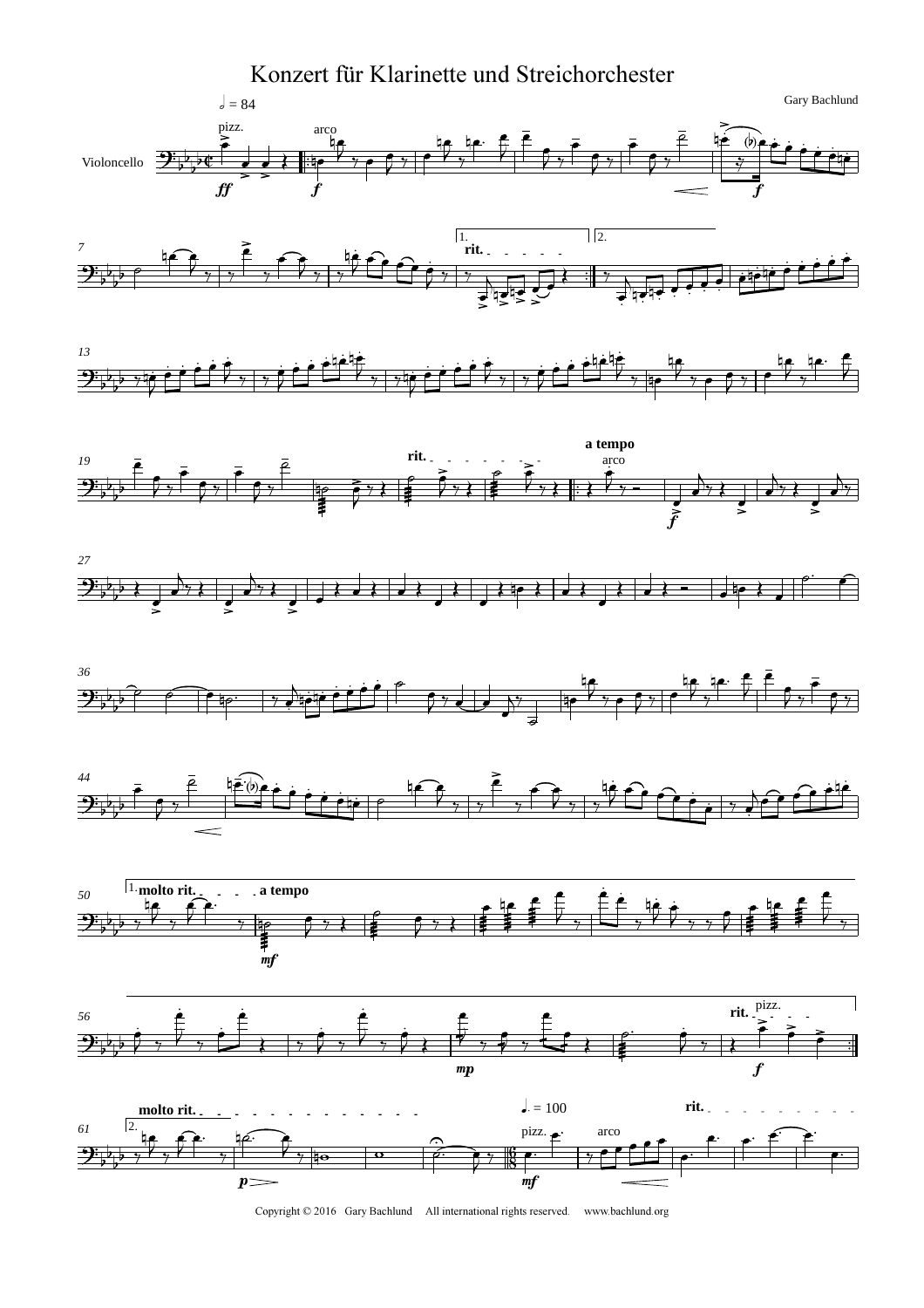

Copyright © 2016 Gary Bachlund All international rights reserved. www.bachlund.org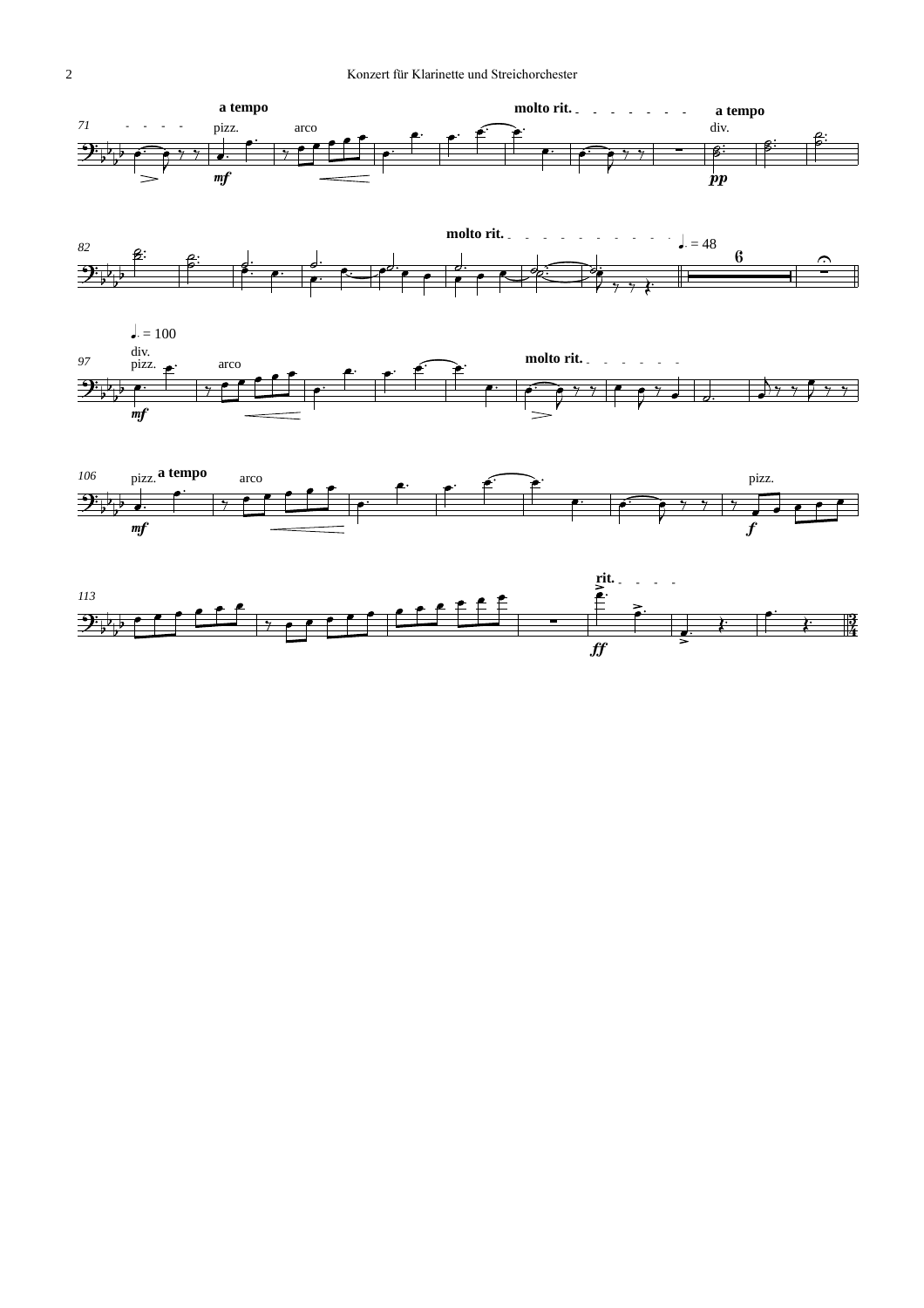







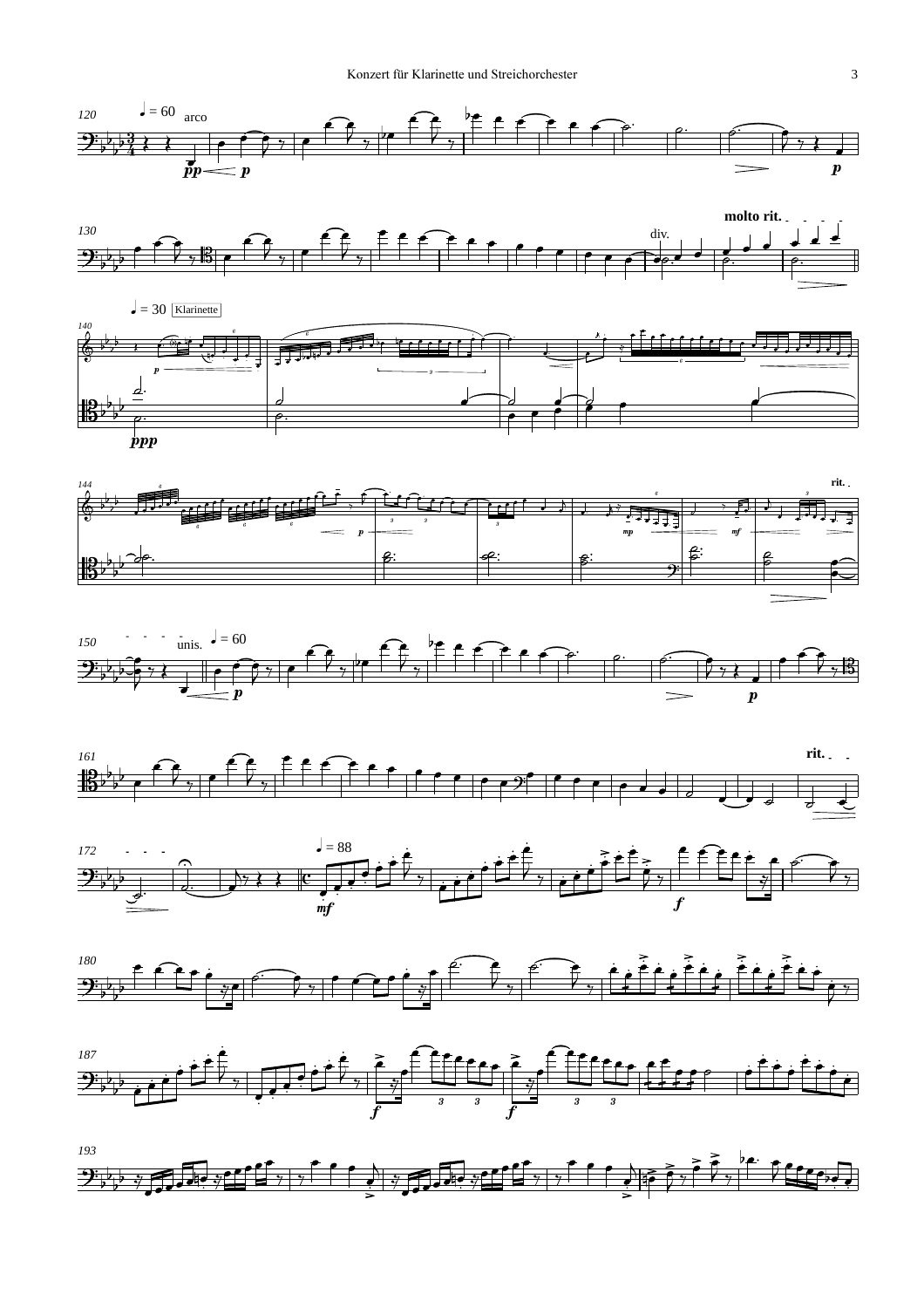

















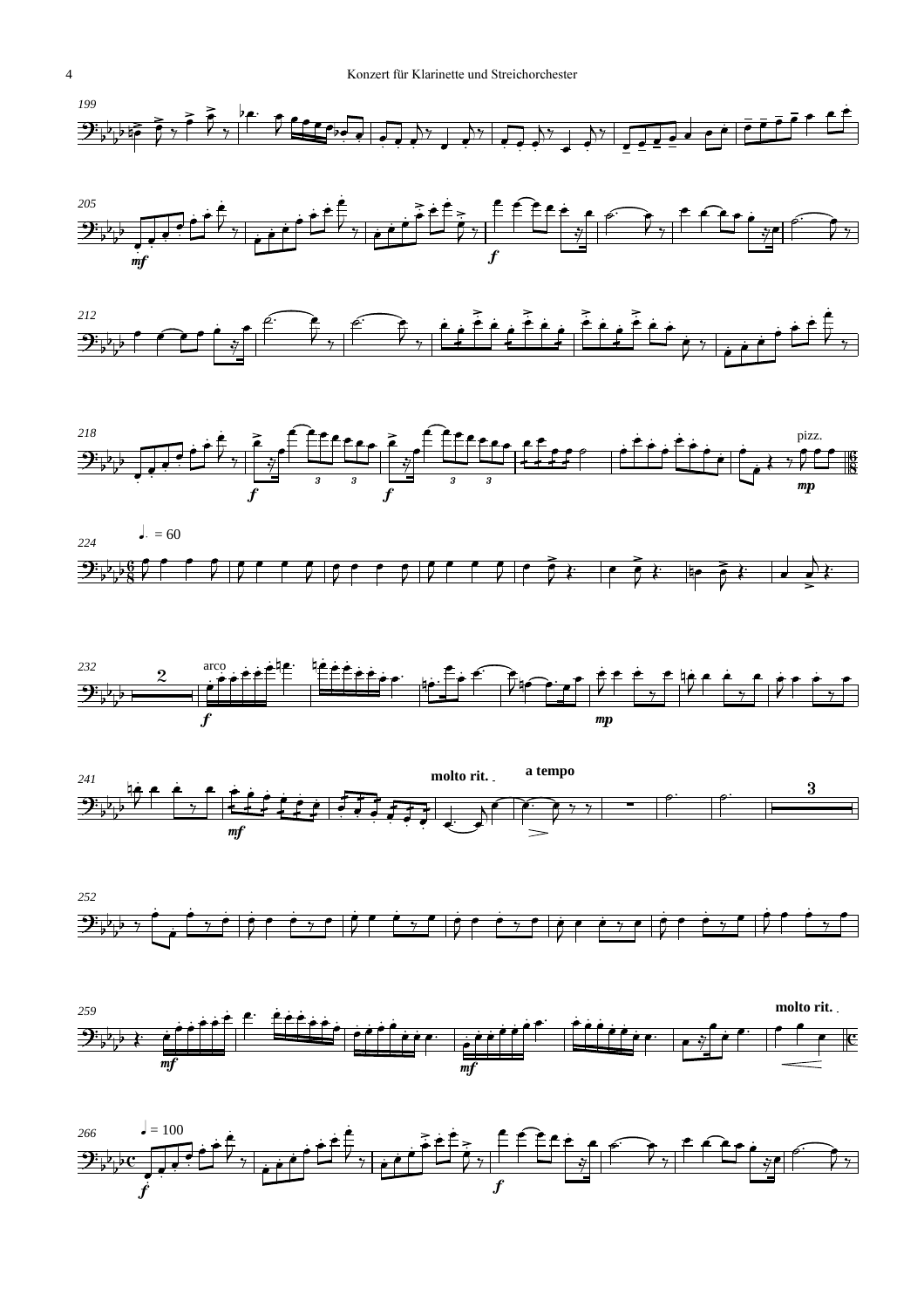

















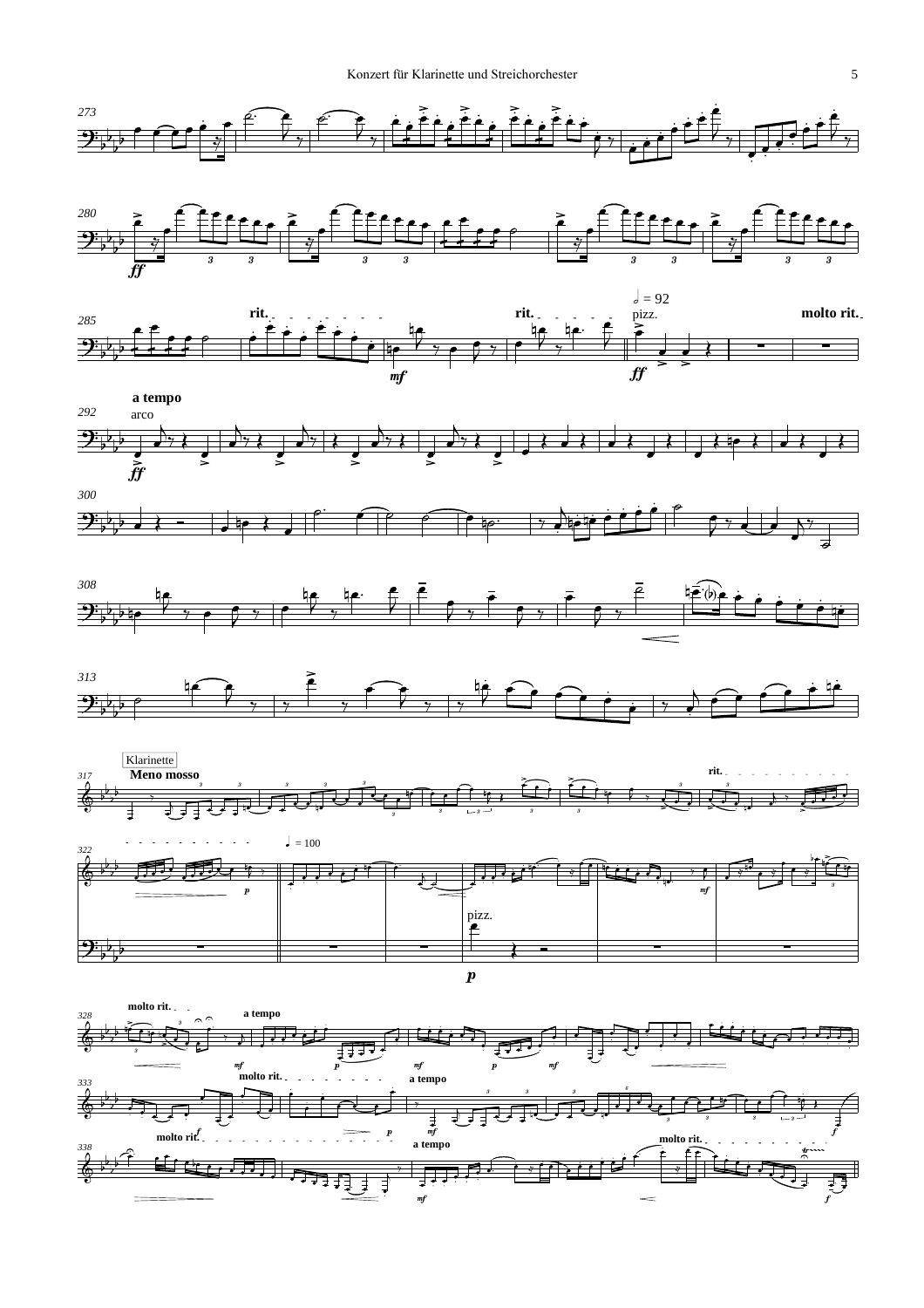